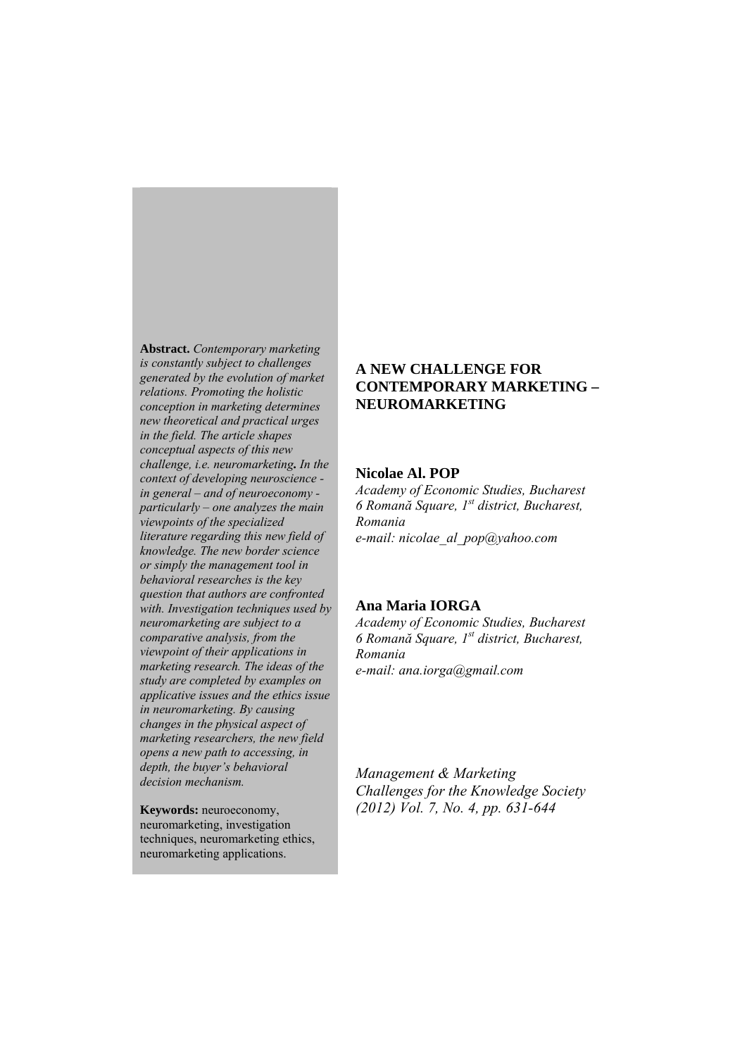**Abstract.** *Contemporary marketing is constantly subject to challenges generated by the evolution of market relations. Promoting the holistic conception in marketing determines new theoretical and practical urges in the field. The article shapes conceptual aspects of this new challenge, i.e. neuromarketing. In the context of developing neuroscience in general – and of neuroeconomy particularly – one analyzes the main viewpoints of the specialized literature regarding this new field of knowledge. The new border science or simply the management tool in behavioral researches is the key question that authors are confronted with. Investigation techniques used by neuromarketing are subject to a comparative analysis, from the viewpoint of their applications in marketing research. The ideas of the study are completed by examples on applicative issues and the ethics issue in neuromarketing. By causing changes in the physical aspect of marketing researchers, the new field opens a new path to accessing, in depth, the buyer's behavioral decision mechanism.* 

**Keywords:** neuroeconomy, neuromarketing, investigation techniques, neuromarketing ethics, neuromarketing applications.

# **A NEW CHALLENGE FOR CONTEMPORARY MARKETING – NEUROMARKETING**

## **Nicolae Al. POP**

*Academy of Economic Studies, Bucharest 6 Romană Square, 1st district, Bucharest, Romania e-mail: nicolae\_al\_pop@yahoo.com* 

## **Ana Maria IORGA**

*Academy of Economic Studies, Bucharest 6 Romană Square, 1st district, Bucharest, Romania e-mail: ana.iorga@gmail.com*

*Management & Marketing Challenges for the Knowledge Society (2012) Vol. 7, No. 4, pp. 631-644*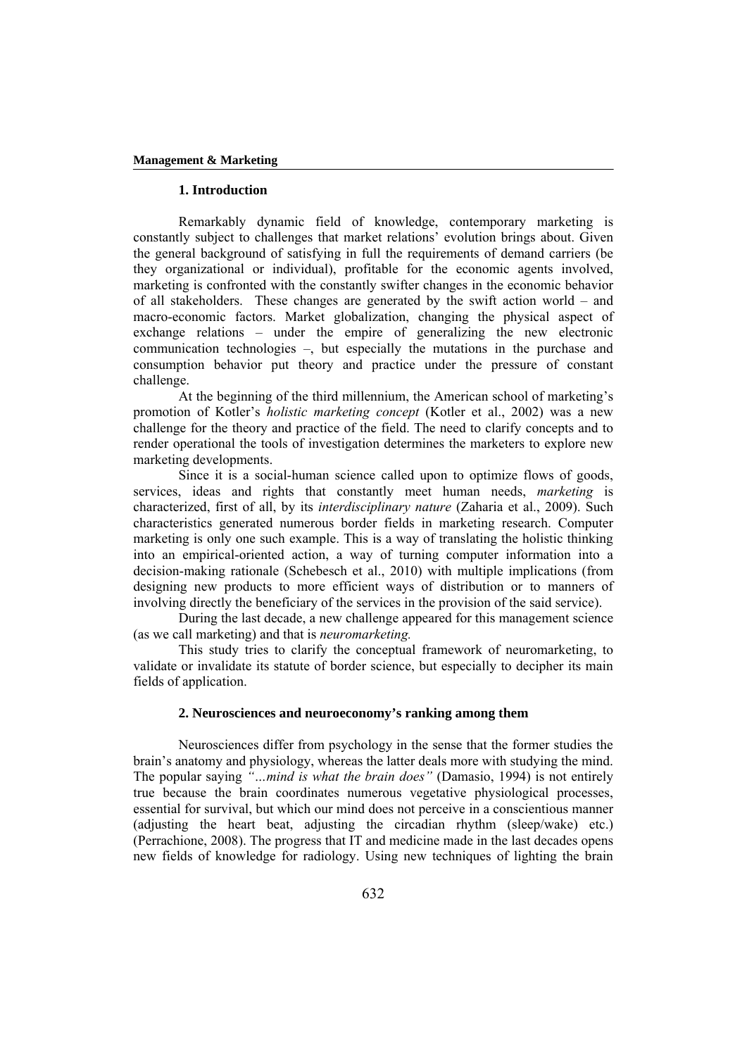## **1. Introduction**

Remarkably dynamic field of knowledge, contemporary marketing is constantly subject to challenges that market relations' evolution brings about. Given the general background of satisfying in full the requirements of demand carriers (be they organizational or individual), profitable for the economic agents involved, marketing is confronted with the constantly swifter changes in the economic behavior of all stakeholders. These changes are generated by the swift action world – and macro-economic factors. Market globalization, changing the physical aspect of exchange relations – under the empire of generalizing the new electronic communication technologies –, but especially the mutations in the purchase and consumption behavior put theory and practice under the pressure of constant challenge.

 At the beginning of the third millennium, the American school of marketing's promotion of Kotler's *holistic marketing concept* (Kotler et al., 2002) was a new challenge for the theory and practice of the field. The need to clarify concepts and to render operational the tools of investigation determines the marketers to explore new marketing developments.

 Since it is a social-human science called upon to optimize flows of goods, services, ideas and rights that constantly meet human needs, *marketing* is characterized, first of all, by its *interdisciplinary nature* (Zaharia et al., 2009). Such characteristics generated numerous border fields in marketing research. Computer marketing is only one such example. This is a way of translating the holistic thinking into an empirical-oriented action, a way of turning computer information into a decision-making rationale (Schebesch et al., 2010) with multiple implications (from designing new products to more efficient ways of distribution or to manners of involving directly the beneficiary of the services in the provision of the said service).

 During the last decade, a new challenge appeared for this management science (as we call marketing) and that is *neuromarketing.*

 This study tries to clarify the conceptual framework of neuromarketing, to validate or invalidate its statute of border science, but especially to decipher its main fields of application.

### **2. Neurosciences and neuroeconomy's ranking among them**

Neurosciences differ from psychology in the sense that the former studies the brain's anatomy and physiology, whereas the latter deals more with studying the mind. The popular saying *"…mind is what the brain does"* (Damasio, 1994) is not entirely true because the brain coordinates numerous vegetative physiological processes, essential for survival, but which our mind does not perceive in a conscientious manner (adjusting the heart beat, adjusting the circadian rhythm (sleep/wake) etc.) (Perrachione, 2008). The progress that IT and medicine made in the last decades opens new fields of knowledge for radiology. Using new techniques of lighting the brain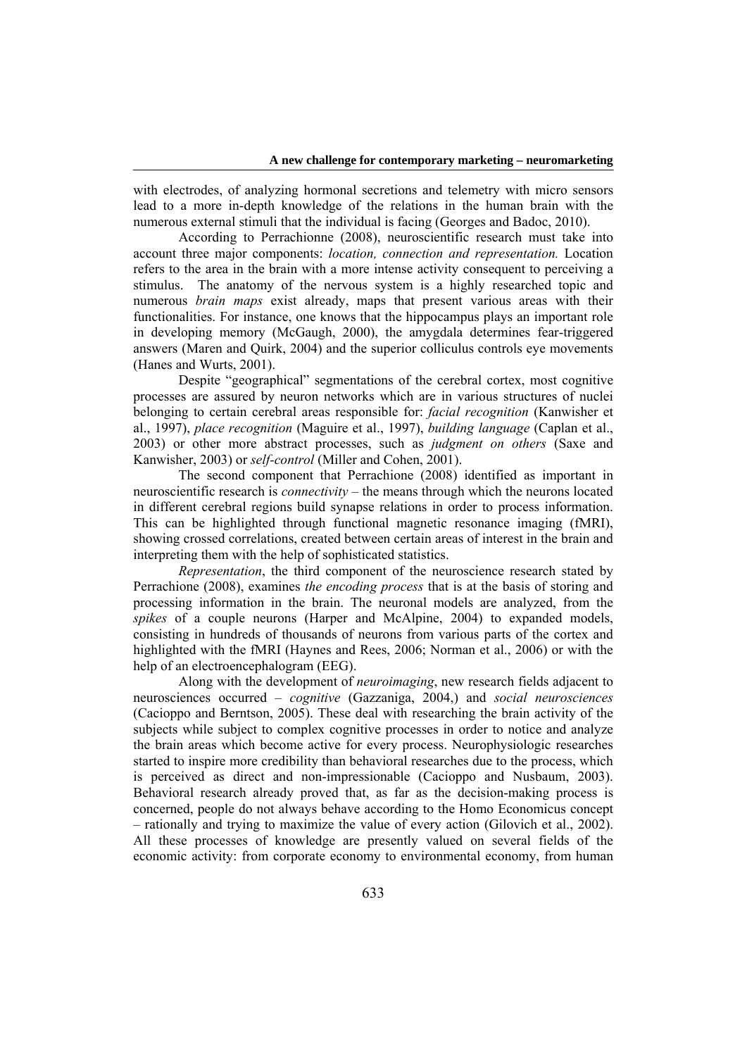with electrodes, of analyzing hormonal secretions and telemetry with micro sensors lead to a more in-depth knowledge of the relations in the human brain with the numerous external stimuli that the individual is facing (Georges and Badoc, 2010).

According to Perrachionne (2008), neuroscientific research must take into account three major components: *location, connection and representation.* Location refers to the area in the brain with a more intense activity consequent to perceiving a stimulus. The anatomy of the nervous system is a highly researched topic and numerous *brain maps* exist already, maps that present various areas with their functionalities. For instance, one knows that the hippocampus plays an important role in developing memory (McGaugh, 2000), the amygdala determines fear-triggered answers (Maren and Quirk, 2004) and the superior colliculus controls eye movements (Hanes and Wurts, 2001).

Despite "geographical" segmentations of the cerebral cortex, most cognitive processes are assured by neuron networks which are in various structures of nuclei belonging to certain cerebral areas responsible for: *facial recognition* (Kanwisher et al., 1997), *place recognition* (Maguire et al., 1997), *building language* (Caplan et al., 2003) or other more abstract processes, such as *judgment on others* (Saxe and Kanwisher, 2003) or *self-control* (Miller and Cohen, 2001).

The second component that Perrachione (2008) identified as important in neuroscientific research is *connectivity –* the means through which the neurons located in different cerebral regions build synapse relations in order to process information. This can be highlighted through functional magnetic resonance imaging (fMRI), showing crossed correlations, created between certain areas of interest in the brain and interpreting them with the help of sophisticated statistics.

*Representation*, the third component of the neuroscience research stated by Perrachione (2008), examines *the encoding process* that is at the basis of storing and processing information in the brain. The neuronal models are analyzed, from the *spikes* of a couple neurons (Harper and McAlpine, 2004) to expanded models, consisting in hundreds of thousands of neurons from various parts of the cortex and highlighted with the fMRI (Haynes and Rees, 2006; Norman et al., 2006) or with the help of an electroencephalogram (EEG).

Along with the development of *neuroimaging*, new research fields adjacent to neurosciences occurred – *cognitive* (Gazzaniga, 2004,) and *social neurosciences* (Cacioppo and Berntson, 2005). These deal with researching the brain activity of the subjects while subject to complex cognitive processes in order to notice and analyze the brain areas which become active for every process. Neurophysiologic researches started to inspire more credibility than behavioral researches due to the process, which is perceived as direct and non-impressionable (Cacioppo and Nusbaum, 2003). Behavioral research already proved that, as far as the decision-making process is concerned, people do not always behave according to the Homo Economicus concept – rationally and trying to maximize the value of every action (Gilovich et al., 2002). All these processes of knowledge are presently valued on several fields of the economic activity: from corporate economy to environmental economy, from human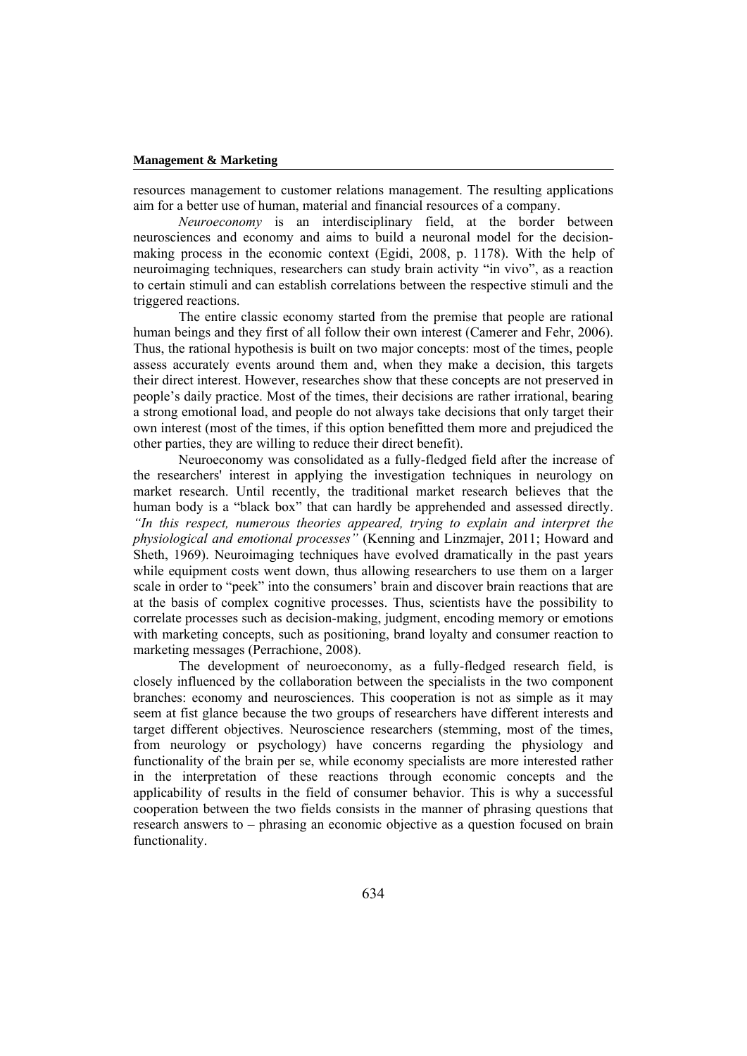resources management to customer relations management. The resulting applications aim for a better use of human, material and financial resources of a company.

*Neuroeconomy* is an interdisciplinary field, at the border between neurosciences and economy and aims to build a neuronal model for the decisionmaking process in the economic context (Egidi, 2008, p. 1178). With the help of neuroimaging techniques, researchers can study brain activity "in vivo", as a reaction to certain stimuli and can establish correlations between the respective stimuli and the triggered reactions.

The entire classic economy started from the premise that people are rational human beings and they first of all follow their own interest (Camerer and Fehr, 2006). Thus, the rational hypothesis is built on two major concepts: most of the times, people assess accurately events around them and, when they make a decision, this targets their direct interest. However, researches show that these concepts are not preserved in people's daily practice. Most of the times, their decisions are rather irrational, bearing a strong emotional load, and people do not always take decisions that only target their own interest (most of the times, if this option benefitted them more and prejudiced the other parties, they are willing to reduce their direct benefit).

Neuroeconomy was consolidated as a fully-fledged field after the increase of the researchers' interest in applying the investigation techniques in neurology on market research. Until recently, the traditional market research believes that the human body is a "black box" that can hardly be apprehended and assessed directly. *"In this respect, numerous theories appeared, trying to explain and interpret the physiological and emotional processes"* (Kenning and Linzmajer, 2011; Howard and Sheth, 1969). Neuroimaging techniques have evolved dramatically in the past years while equipment costs went down, thus allowing researchers to use them on a larger scale in order to "peek" into the consumers' brain and discover brain reactions that are at the basis of complex cognitive processes. Thus, scientists have the possibility to correlate processes such as decision-making, judgment, encoding memory or emotions with marketing concepts, such as positioning, brand loyalty and consumer reaction to marketing messages (Perrachione, 2008).

The development of neuroeconomy, as a fully-fledged research field, is closely influenced by the collaboration between the specialists in the two component branches: economy and neurosciences. This cooperation is not as simple as it may seem at fist glance because the two groups of researchers have different interests and target different objectives. Neuroscience researchers (stemming, most of the times, from neurology or psychology) have concerns regarding the physiology and functionality of the brain per se, while economy specialists are more interested rather in the interpretation of these reactions through economic concepts and the applicability of results in the field of consumer behavior. This is why a successful cooperation between the two fields consists in the manner of phrasing questions that research answers to – phrasing an economic objective as a question focused on brain functionality.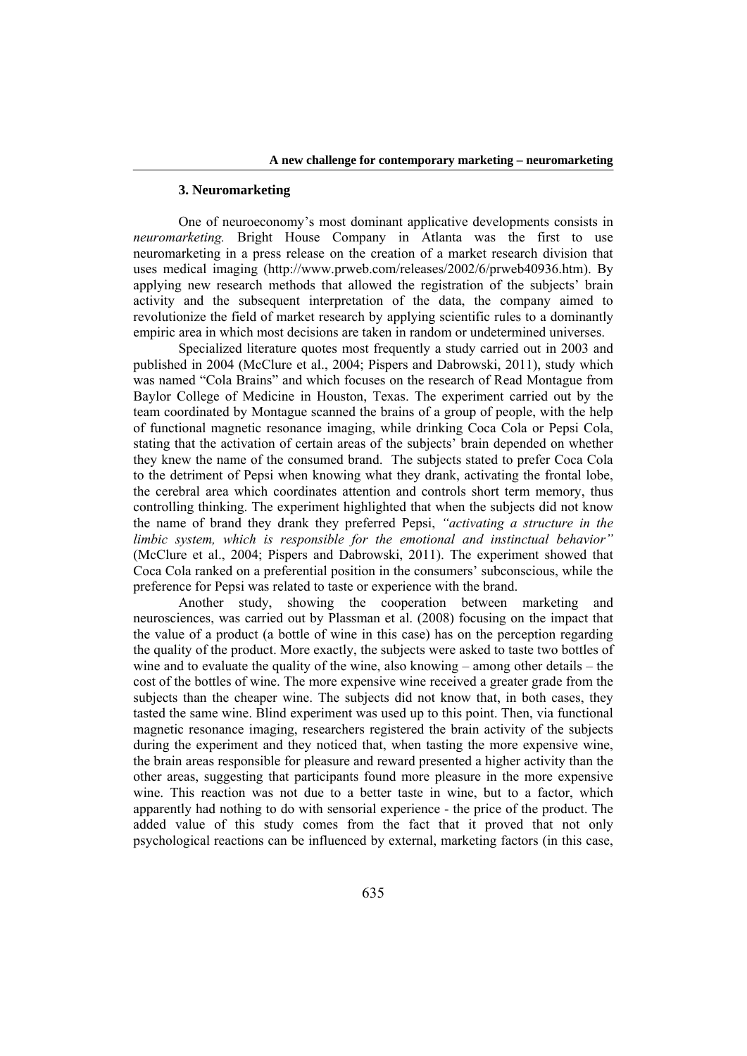### **3. Neuromarketing**

One of neuroeconomy's most dominant applicative developments consists in *neuromarketing.* Bright House Company in Atlanta was the first to use neuromarketing in a press release on the creation of a market research division that uses medical imaging (http://www.prweb.com/releases/2002/6/prweb40936.htm). By applying new research methods that allowed the registration of the subjects' brain activity and the subsequent interpretation of the data, the company aimed to revolutionize the field of market research by applying scientific rules to a dominantly empiric area in which most decisions are taken in random or undetermined universes.

Specialized literature quotes most frequently a study carried out in 2003 and published in 2004 (McClure et al., 2004; Pispers and Dabrowski, 2011), study which was named "Cola Brains" and which focuses on the research of Read Montague from Baylor College of Medicine in Houston, Texas. The experiment carried out by the team coordinated by Montague scanned the brains of a group of people, with the help of functional magnetic resonance imaging, while drinking Coca Cola or Pepsi Cola, stating that the activation of certain areas of the subjects' brain depended on whether they knew the name of the consumed brand. The subjects stated to prefer Coca Cola to the detriment of Pepsi when knowing what they drank, activating the frontal lobe, the cerebral area which coordinates attention and controls short term memory, thus controlling thinking. The experiment highlighted that when the subjects did not know the name of brand they drank they preferred Pepsi, *"activating a structure in the limbic system, which is responsible for the emotional and instinctual behavior"* (McClure et al., 2004; Pispers and Dabrowski, 2011). The experiment showed that Coca Cola ranked on a preferential position in the consumers' subconscious, while the preference for Pepsi was related to taste or experience with the brand.

Another study, showing the cooperation between marketing and neurosciences, was carried out by Plassman et al. (2008) focusing on the impact that the value of a product (a bottle of wine in this case) has on the perception regarding the quality of the product. More exactly, the subjects were asked to taste two bottles of wine and to evaluate the quality of the wine, also knowing – among other details – the cost of the bottles of wine. The more expensive wine received a greater grade from the subjects than the cheaper wine. The subjects did not know that, in both cases, they tasted the same wine. Blind experiment was used up to this point. Then, via functional magnetic resonance imaging, researchers registered the brain activity of the subjects during the experiment and they noticed that, when tasting the more expensive wine, the brain areas responsible for pleasure and reward presented a higher activity than the other areas, suggesting that participants found more pleasure in the more expensive wine. This reaction was not due to a better taste in wine, but to a factor, which apparently had nothing to do with sensorial experience - the price of the product. The added value of this study comes from the fact that it proved that not only psychological reactions can be influenced by external, marketing factors (in this case,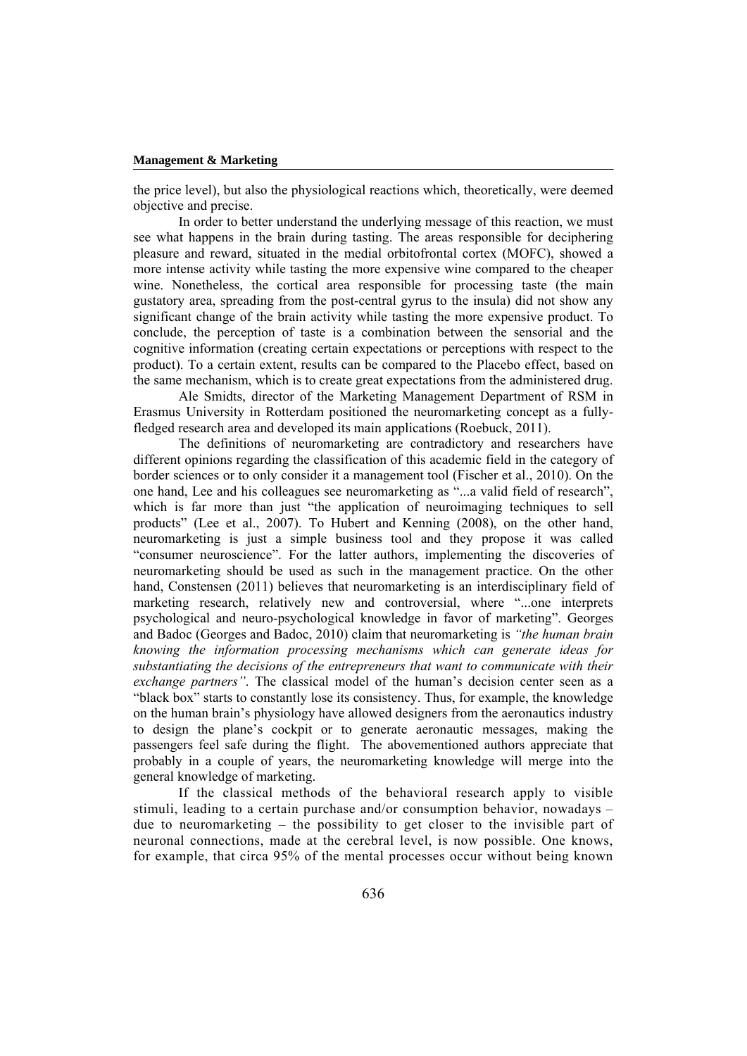the price level), but also the physiological reactions which, theoretically, were deemed objective and precise.

In order to better understand the underlying message of this reaction, we must see what happens in the brain during tasting. The areas responsible for deciphering pleasure and reward, situated in the medial orbitofrontal cortex (MOFC), showed a more intense activity while tasting the more expensive wine compared to the cheaper wine. Nonetheless, the cortical area responsible for processing taste (the main gustatory area, spreading from the post-central gyrus to the insula) did not show any significant change of the brain activity while tasting the more expensive product. To conclude, the perception of taste is a combination between the sensorial and the cognitive information (creating certain expectations or perceptions with respect to the product). To a certain extent, results can be compared to the Placebo effect, based on the same mechanism, which is to create great expectations from the administered drug.

Ale Smidts, director of the Marketing Management Department of RSM in Erasmus University in Rotterdam positioned the neuromarketing concept as a fullyfledged research area and developed its main applications (Roebuck, 2011).

The definitions of neuromarketing are contradictory and researchers have different opinions regarding the classification of this academic field in the category of border sciences or to only consider it a management tool (Fischer et al., 2010). On the one hand, Lee and his colleagues see neuromarketing as "...a valid field of research", which is far more than just "the application of neuroimaging techniques to sell products" (Lee et al., 2007). To Hubert and Kenning (2008), on the other hand, neuromarketing is just a simple business tool and they propose it was called "consumer neuroscience". For the latter authors, implementing the discoveries of neuromarketing should be used as such in the management practice. On the other hand, Constensen (2011) believes that neuromarketing is an interdisciplinary field of marketing research, relatively new and controversial, where "...one interprets psychological and neuro-psychological knowledge in favor of marketing". Georges and Badoc (Georges and Badoc, 2010) claim that neuromarketing is *"the human brain knowing the information processing mechanisms which can generate ideas for substantiating the decisions of the entrepreneurs that want to communicate with their exchange partners"*. The classical model of the human's decision center seen as a "black box" starts to constantly lose its consistency. Thus, for example, the knowledge on the human brain's physiology have allowed designers from the aeronautics industry to design the plane's cockpit or to generate aeronautic messages, making the passengers feel safe during the flight. The abovementioned authors appreciate that probably in a couple of years, the neuromarketing knowledge will merge into the general knowledge of marketing.

 If the classical methods of the behavioral research apply to visible stimuli, leading to a certain purchase and/or consumption behavior, nowadays – due to neuromarketing – the possibility to get closer to the invisible part of neuronal connections, made at the cerebral level, is now possible. One knows, for example, that circa 95% of the mental processes occur without being known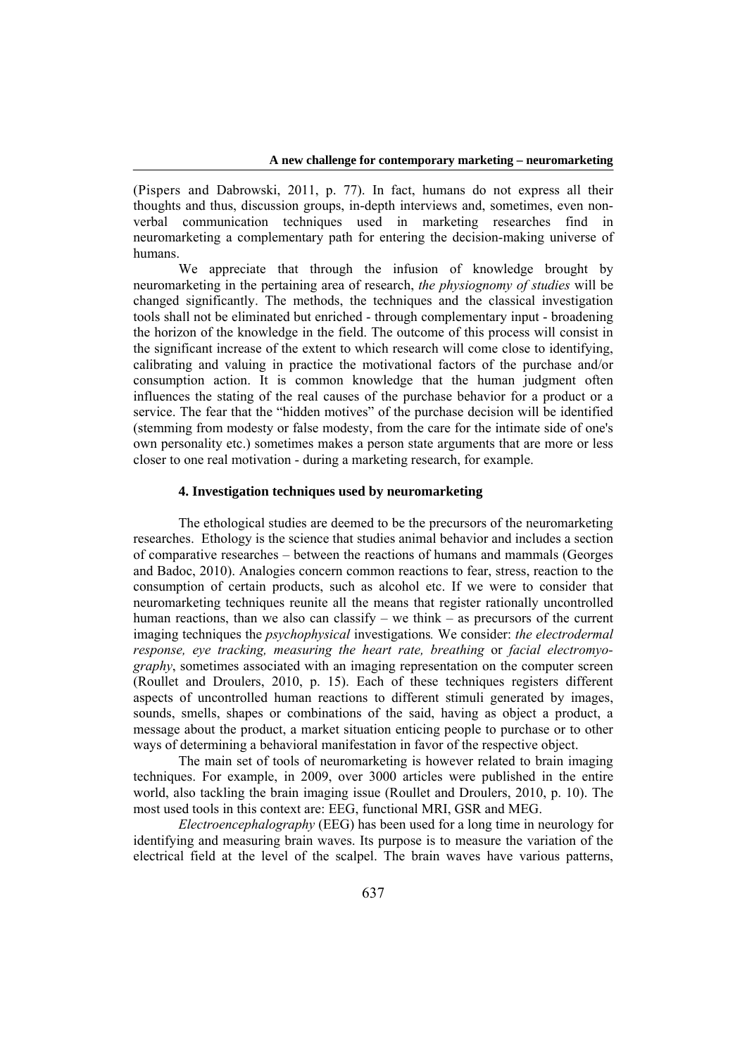(Pispers and Dabrowski, 2011, p. 77). In fact, humans do not express all their thoughts and thus, discussion groups, in-depth interviews and, sometimes, even nonverbal communication techniques used in marketing researches find in neuromarketing a complementary path for entering the decision-making universe of humans.

We appreciate that through the infusion of knowledge brought by neuromarketing in the pertaining area of research, *the physiognomy of studies* will be changed significantly. The methods, the techniques and the classical investigation tools shall not be eliminated but enriched - through complementary input - broadening the horizon of the knowledge in the field. The outcome of this process will consist in the significant increase of the extent to which research will come close to identifying, calibrating and valuing in practice the motivational factors of the purchase and/or consumption action. It is common knowledge that the human judgment often influences the stating of the real causes of the purchase behavior for a product or a service. The fear that the "hidden motives" of the purchase decision will be identified (stemming from modesty or false modesty, from the care for the intimate side of one's own personality etc.) sometimes makes a person state arguments that are more or less closer to one real motivation - during a marketing research, for example.

## **4. Investigation techniques used by neuromarketing**

The ethological studies are deemed to be the precursors of the neuromarketing researches. Ethology is the science that studies animal behavior and includes a section of comparative researches – between the reactions of humans and mammals (Georges and Badoc, 2010). Analogies concern common reactions to fear, stress, reaction to the consumption of certain products, such as alcohol etc. If we were to consider that neuromarketing techniques reunite all the means that register rationally uncontrolled human reactions, than we also can classify – we think – as precursors of the current imaging techniques the *psychophysical* investigations*.* We consider: *the electrodermal response, eye tracking, measuring the heart rate, breathing* or *facial electromyography*, sometimes associated with an imaging representation on the computer screen (Roullet and Droulers, 2010, p. 15). Each of these techniques registers different aspects of uncontrolled human reactions to different stimuli generated by images, sounds, smells, shapes or combinations of the said, having as object a product, a message about the product, a market situation enticing people to purchase or to other ways of determining a behavioral manifestation in favor of the respective object.

 The main set of tools of neuromarketing is however related to brain imaging techniques. For example, in 2009, over 3000 articles were published in the entire world, also tackling the brain imaging issue (Roullet and Droulers, 2010, p. 10). The most used tools in this context are: EEG, functional MRI, GSR and MEG.

*Electroencephalography* (EEG) has been used for a long time in neurology for identifying and measuring brain waves. Its purpose is to measure the variation of the electrical field at the level of the scalpel. The brain waves have various patterns,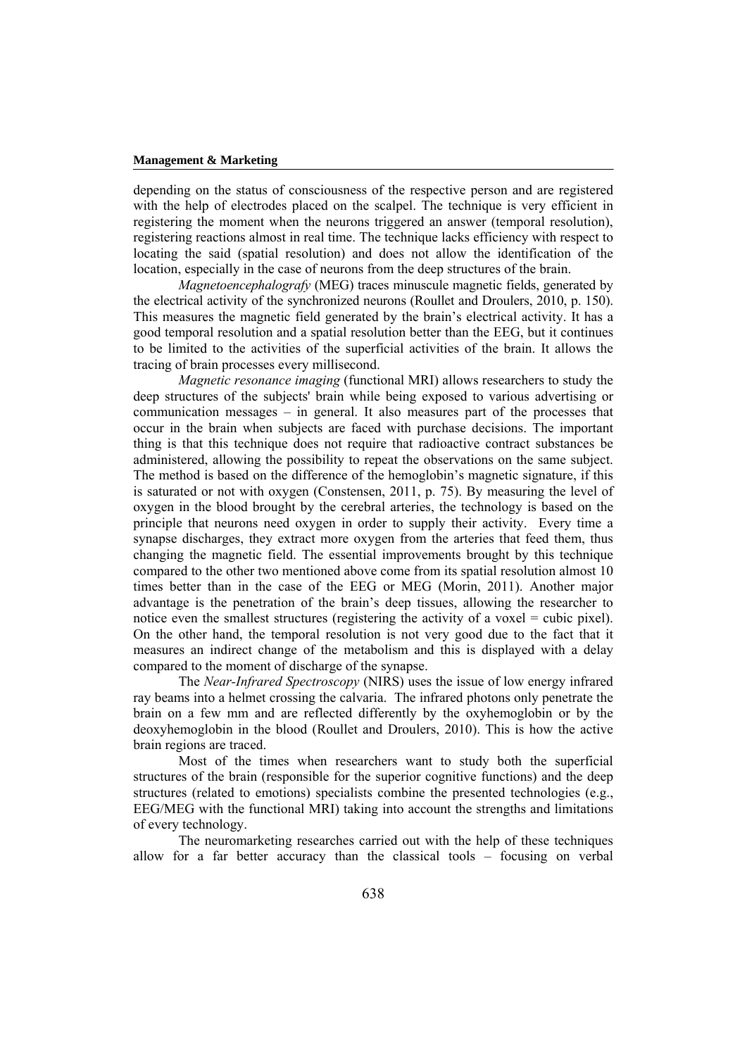depending on the status of consciousness of the respective person and are registered with the help of electrodes placed on the scalpel. The technique is very efficient in registering the moment when the neurons triggered an answer (temporal resolution), registering reactions almost in real time. The technique lacks efficiency with respect to locating the said (spatial resolution) and does not allow the identification of the location, especially in the case of neurons from the deep structures of the brain.

*Magnetoencephalografy* (MEG) traces minuscule magnetic fields, generated by the electrical activity of the synchronized neurons (Roullet and Droulers, 2010, p. 150). This measures the magnetic field generated by the brain's electrical activity. It has a good temporal resolution and a spatial resolution better than the EEG, but it continues to be limited to the activities of the superficial activities of the brain. It allows the tracing of brain processes every millisecond.

*Magnetic resonance imaging* (functional MRI) allows researchers to study the deep structures of the subjects' brain while being exposed to various advertising or communication messages – in general. It also measures part of the processes that occur in the brain when subjects are faced with purchase decisions. The important thing is that this technique does not require that radioactive contract substances be administered, allowing the possibility to repeat the observations on the same subject. The method is based on the difference of the hemoglobin's magnetic signature, if this is saturated or not with oxygen (Constensen, 2011, p. 75). By measuring the level of oxygen in the blood brought by the cerebral arteries, the technology is based on the principle that neurons need oxygen in order to supply their activity. Every time a synapse discharges, they extract more oxygen from the arteries that feed them, thus changing the magnetic field. The essential improvements brought by this technique compared to the other two mentioned above come from its spatial resolution almost 10 times better than in the case of the EEG or MEG (Morin, 2011). Another major advantage is the penetration of the brain's deep tissues, allowing the researcher to notice even the smallest structures (registering the activity of a voxel = cubic pixel). On the other hand, the temporal resolution is not very good due to the fact that it measures an indirect change of the metabolism and this is displayed with a delay compared to the moment of discharge of the synapse.

 The *Near-Infrared Spectroscopy* (NIRS) uses the issue of low energy infrared ray beams into a helmet crossing the calvaria. The infrared photons only penetrate the brain on a few mm and are reflected differently by the oxyhemoglobin or by the deoxyhemoglobin in the blood (Roullet and Droulers, 2010). This is how the active brain regions are traced.

 Most of the times when researchers want to study both the superficial structures of the brain (responsible for the superior cognitive functions) and the deep structures (related to emotions) specialists combine the presented technologies (e.g., EEG/MEG with the functional MRI) taking into account the strengths and limitations of every technology.

 The neuromarketing researches carried out with the help of these techniques allow for a far better accuracy than the classical tools – focusing on verbal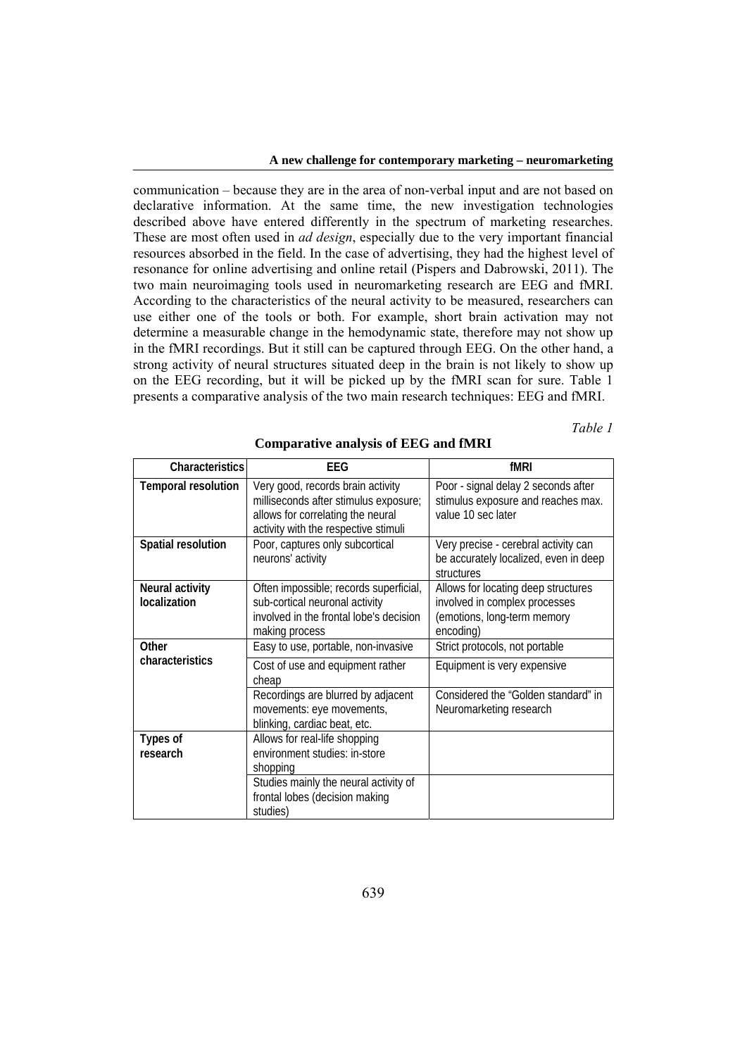#### **A new challenge for contemporary marketing – neuromarketing**

communication – because they are in the area of non-verbal input and are not based on declarative information. At the same time, the new investigation technologies described above have entered differently in the spectrum of marketing researches. These are most often used in *ad design*, especially due to the very important financial resources absorbed in the field. In the case of advertising, they had the highest level of resonance for online advertising and online retail (Pispers and Dabrowski, 2011). The two main neuroimaging tools used in neuromarketing research are EEG and fMRI. According to the characteristics of the neural activity to be measured, researchers can use either one of the tools or both. For example, short brain activation may not determine a measurable change in the hemodynamic state, therefore may not show up in the fMRI recordings. But it still can be captured through EEG. On the other hand, a strong activity of neural structures situated deep in the brain is not likely to show up on the EEG recording, but it will be picked up by the fMRI scan for sure. Table 1 presents a comparative analysis of the two main research techniques: EEG and fMRI.

*Table 1*

| Characteristics                 | EEG                                                                                                                                                     | fMRI                                                                                                             |
|---------------------------------|---------------------------------------------------------------------------------------------------------------------------------------------------------|------------------------------------------------------------------------------------------------------------------|
| <b>Temporal resolution</b>      | Very good, records brain activity<br>milliseconds after stimulus exposure;<br>allows for correlating the neural<br>activity with the respective stimuli | Poor - signal delay 2 seconds after<br>stimulus exposure and reaches max.<br>value 10 sec later                  |
| Spatial resolution              | Poor, captures only subcortical<br>neurons' activity                                                                                                    | Very precise - cerebral activity can<br>be accurately localized, even in deep<br>structures                      |
| Neural activity<br>localization | Often impossible; records superficial,<br>sub-cortical neuronal activity<br>involved in the frontal lobe's decision<br>making process                   | Allows for locating deep structures<br>involved in complex processes<br>(emotions, long-term memory<br>encoding) |
| Other                           | Easy to use, portable, non-invasive                                                                                                                     | Strict protocols, not portable                                                                                   |
| characteristics                 | Cost of use and equipment rather<br>cheap                                                                                                               | Equipment is very expensive                                                                                      |
|                                 | Recordings are blurred by adjacent<br>movements: eye movements,<br>blinking, cardiac beat, etc.                                                         | Considered the "Golden standard" in<br>Neuromarketing research                                                   |
| <b>Types of</b><br>research     | Allows for real-life shopping<br>environment studies: in-store<br>shopping                                                                              |                                                                                                                  |
|                                 | Studies mainly the neural activity of<br>frontal lobes (decision making<br>studies)                                                                     |                                                                                                                  |

### **Comparative analysis of EEG and fMRI**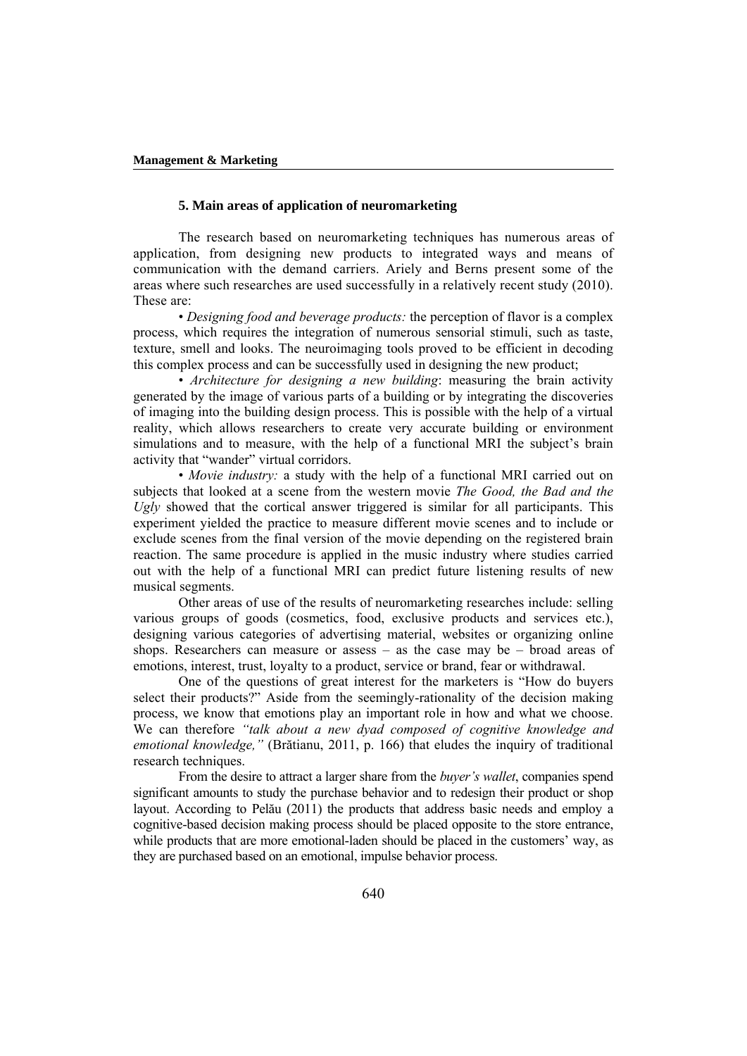## **5. Main areas of application of neuromarketing**

The research based on neuromarketing techniques has numerous areas of application, from designing new products to integrated ways and means of communication with the demand carriers. Ariely and Berns present some of the areas where such researches are used successfully in a relatively recent study (2010). These are:

 • *Designing food and beverage products:* the perception of flavor is a complex process, which requires the integration of numerous sensorial stimuli, such as taste, texture, smell and looks. The neuroimaging tools proved to be efficient in decoding this complex process and can be successfully used in designing the new product;

 • *Architecture for designing a new building*: measuring the brain activity generated by the image of various parts of a building or by integrating the discoveries of imaging into the building design process. This is possible with the help of a virtual reality, which allows researchers to create very accurate building or environment simulations and to measure, with the help of a functional MRI the subject's brain activity that "wander" virtual corridors.

 • *Movie industry:* a study with the help of a functional MRI carried out on subjects that looked at a scene from the western movie *The Good, the Bad and the Ugly* showed that the cortical answer triggered is similar for all participants. This experiment yielded the practice to measure different movie scenes and to include or exclude scenes from the final version of the movie depending on the registered brain reaction. The same procedure is applied in the music industry where studies carried out with the help of a functional MRI can predict future listening results of new musical segments.

 Other areas of use of the results of neuromarketing researches include: selling various groups of goods (cosmetics, food, exclusive products and services etc.), designing various categories of advertising material, websites or organizing online shops. Researchers can measure or assess – as the case may be – broad areas of emotions, interest, trust, loyalty to a product, service or brand, fear or withdrawal.

 One of the questions of great interest for the marketers is "How do buyers select their products?" Aside from the seemingly-rationality of the decision making process, we know that emotions play an important role in how and what we choose. We can therefore *"talk about a new dyad composed of cognitive knowledge and emotional knowledge,"* (Brătianu, 2011, p. 166) that eludes the inquiry of traditional research techniques.

From the desire to attract a larger share from the *buyer's wallet*, companies spend significant amounts to study the purchase behavior and to redesign their product or shop layout. According to Pelău (2011) the products that address basic needs and employ a cognitive-based decision making process should be placed opposite to the store entrance, while products that are more emotional-laden should be placed in the customers' way, as they are purchased based on an emotional, impulse behavior process.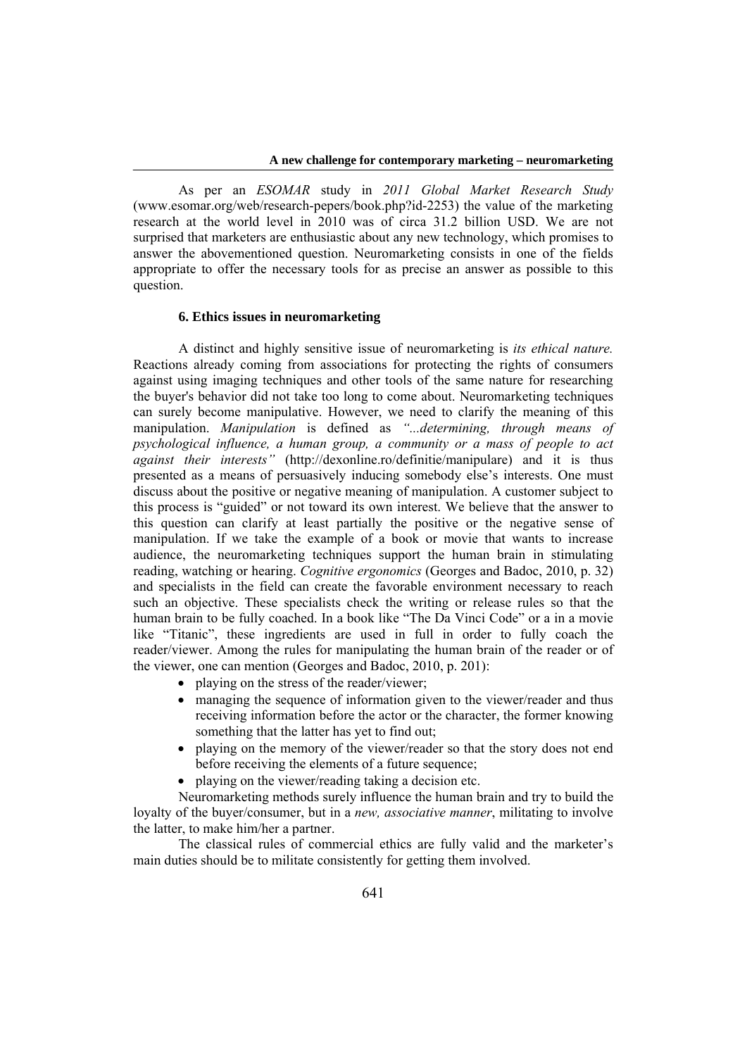As per an *ESOMAR* study in *2011 Global Market Research Study* (www.esomar.org/web/research-pepers/book.php?id-2253) the value of the marketing research at the world level in 2010 was of circa 31.2 billion USD. We are not surprised that marketers are enthusiastic about any new technology, which promises to answer the abovementioned question. Neuromarketing consists in one of the fields appropriate to offer the necessary tools for as precise an answer as possible to this question.

## **6. Ethics issues in neuromarketing**

A distinct and highly sensitive issue of neuromarketing is *its ethical nature.*  Reactions already coming from associations for protecting the rights of consumers against using imaging techniques and other tools of the same nature for researching the buyer's behavior did not take too long to come about. Neuromarketing techniques can surely become manipulative. However, we need to clarify the meaning of this manipulation. *Manipulation* is defined as *"...determining, through means of psychological influence, a human group, a community or a mass of people to act against their interests"* (http://dexonline.ro/definitie/manipulare) and it is thus presented as a means of persuasively inducing somebody else's interests. One must discuss about the positive or negative meaning of manipulation. A customer subject to this process is "guided" or not toward its own interest. We believe that the answer to this question can clarify at least partially the positive or the negative sense of manipulation. If we take the example of a book or movie that wants to increase audience, the neuromarketing techniques support the human brain in stimulating reading, watching or hearing. *Cognitive ergonomics* (Georges and Badoc, 2010, p. 32) and specialists in the field can create the favorable environment necessary to reach such an objective. These specialists check the writing or release rules so that the human brain to be fully coached. In a book like "The Da Vinci Code" or a in a movie like "Titanic", these ingredients are used in full in order to fully coach the reader/viewer. Among the rules for manipulating the human brain of the reader or of the viewer, one can mention (Georges and Badoc, 2010, p. 201):

- playing on the stress of the reader/viewer;
- managing the sequence of information given to the viewer/reader and thus receiving information before the actor or the character, the former knowing something that the latter has yet to find out;
- playing on the memory of the viewer/reader so that the story does not end before receiving the elements of a future sequence:
- playing on the viewer/reading taking a decision etc.

 Neuromarketing methods surely influence the human brain and try to build the loyalty of the buyer/consumer, but in a *new, associative manner*, militating to involve the latter, to make him/her a partner.

 The classical rules of commercial ethics are fully valid and the marketer's main duties should be to militate consistently for getting them involved.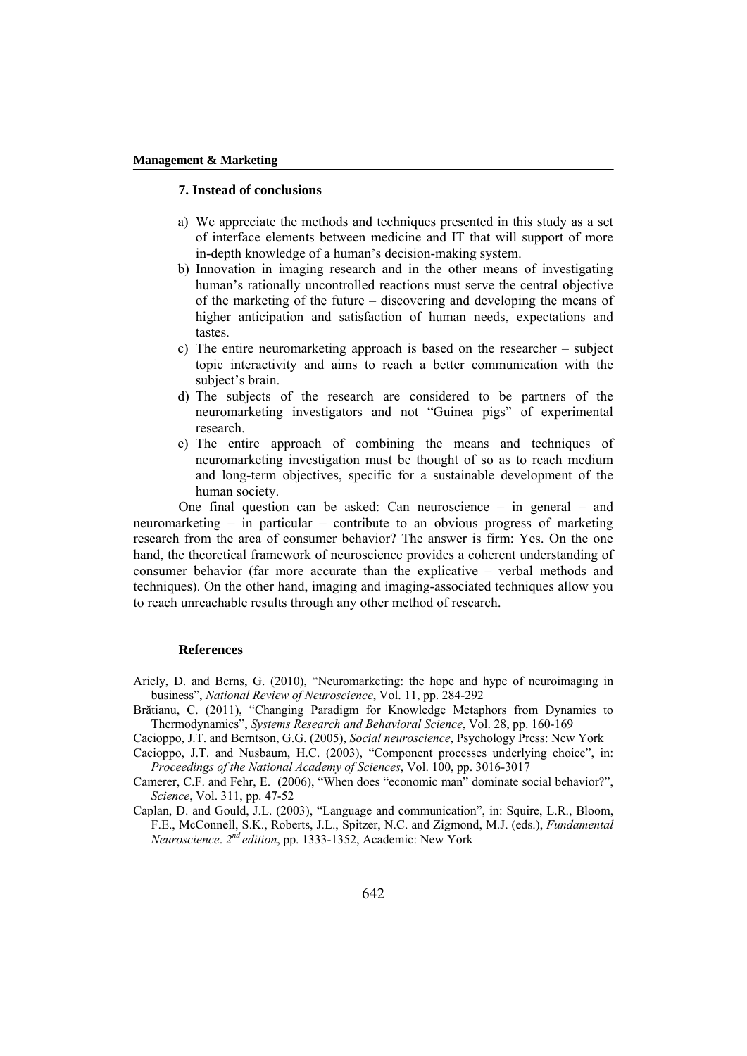## **7. Instead of conclusions**

- a) We appreciate the methods and techniques presented in this study as a set of interface elements between medicine and IT that will support of more in-depth knowledge of a human's decision-making system.
- b) Innovation in imaging research and in the other means of investigating human's rationally uncontrolled reactions must serve the central objective of the marketing of the future – discovering and developing the means of higher anticipation and satisfaction of human needs, expectations and tastes.
- c) The entire neuromarketing approach is based on the researcher subject topic interactivity and aims to reach a better communication with the subject's brain.
- d) The subjects of the research are considered to be partners of the neuromarketing investigators and not "Guinea pigs" of experimental research.
- e) The entire approach of combining the means and techniques of neuromarketing investigation must be thought of so as to reach medium and long-term objectives, specific for a sustainable development of the human society.

 One final question can be asked: Can neuroscience – in general – and neuromarketing – in particular – contribute to an obvious progress of marketing research from the area of consumer behavior? The answer is firm: Yes. On the one hand, the theoretical framework of neuroscience provides a coherent understanding of consumer behavior (far more accurate than the explicative – verbal methods and techniques). On the other hand, imaging and imaging-associated techniques allow you to reach unreachable results through any other method of research.

#### **References**

- Ariely, D. and Berns, G. (2010), "Neuromarketing: the hope and hype of neuroimaging in business", *National Review of Neuroscience*, Vol. 11, pp. 284-292
- Brătianu, C. (2011), "Changing Paradigm for Knowledge Metaphors from Dynamics to Thermodynamics", *Systems Research and Behavioral Science*, Vol. 28, pp. 160-169

Cacioppo, J.T. and Berntson, G.G. (2005), *Social neuroscience*, Psychology Press: New York

- Cacioppo, J.T. and Nusbaum, H.C. (2003), "Component processes underlying choice", in: *Proceedings of the National Academy of Sciences*, Vol. 100, pp. 3016-3017
- Camerer, C.F. and Fehr, E. (2006), "When does "economic man" dominate social behavior?", *Science*, Vol. 311, pp. 47-52
- Caplan, D. and Gould, J.L. (2003), "Language and communication", in: Squire, L.R., Bloom, F.E., McConnell, S.K., Roberts, J.L., Spitzer, N.C. and Zigmond, M.J. (eds.), *Fundamental Neuroscience*. *2nd edition*, pp. 1333-1352, Academic: New York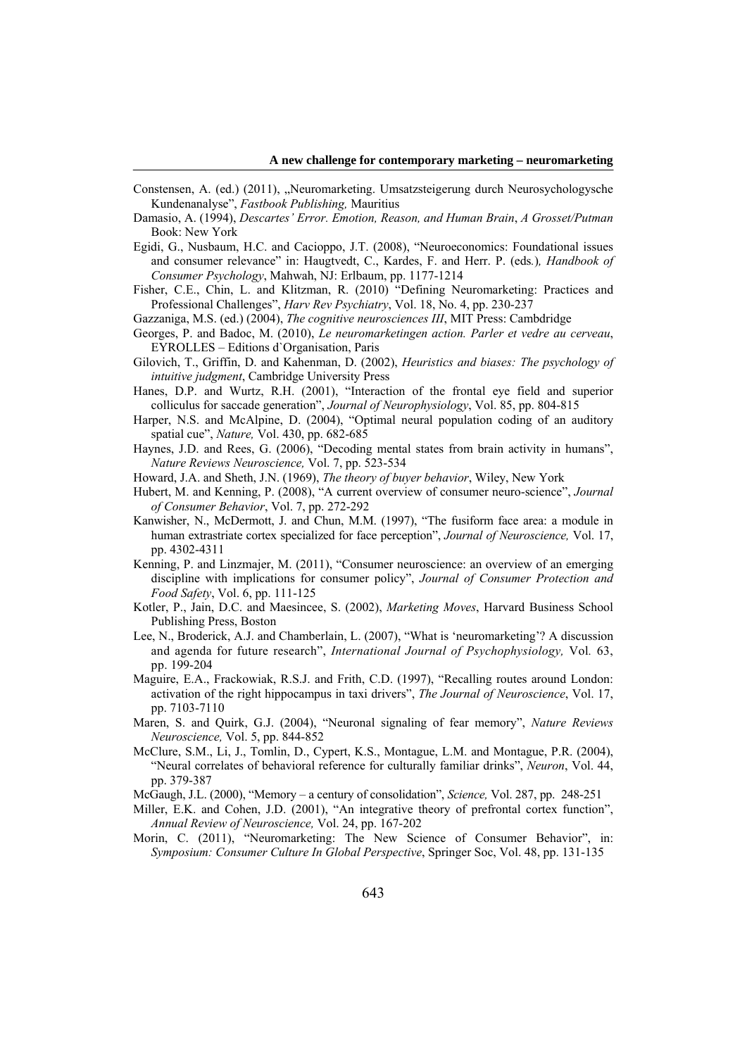- Constensen, A. (ed.) (2011), "Neuromarketing. Umsatzsteigerung durch Neurosychologysche Kundenanalyse", *Fastbook Publishing,* Mauritius
- Damasio, A. (1994), *Descartes' Error. Emotion, Reason, and Human Brain*, *A Grosset/Putman*  Book: New York
- Egidi, G., Nusbaum, H.C. and Cacioppo, J.T. (2008), "Neuroeconomics: Foundational issues and consumer relevance" in: Haugtvedt, C., Kardes, F. and Herr. P. (eds*.*)*, Handbook of Consumer Psychology*, Mahwah, NJ: Erlbaum, pp. 1177-1214
- Fisher, C.E., Chin, L. and Klitzman, R. (2010) "Defining Neuromarketing: Practices and Professional Challenges", *Harv Rev Psychiatry*, Vol. 18, No. 4, pp. 230-237
- Gazzaniga, M.S. (ed.) (2004), *The cognitive neurosciences III*, MIT Press: Cambdridge
- Georges, P. and Badoc, M. (2010), *Le neuromarketingen action. Parler et vedre au cerveau*, EYROLLES – Editions d`Organisation, Paris
- Gilovich, T., Griffin, D. and Kahenman, D. (2002), *Heuristics and biases: The psychology of intuitive judgment*, Cambridge University Press
- Hanes, D.P. and Wurtz, R.H. (2001), "Interaction of the frontal eye field and superior colliculus for saccade generation", *Journal of Neurophysiology*, Vol. 85, pp. 804-815
- Harper, N.S. and McAlpine, D. (2004), "Optimal neural population coding of an auditory spatial cue", *Nature,* Vol. 430, pp. 682-685
- Haynes, J.D. and Rees, G. (2006), "Decoding mental states from brain activity in humans", *Nature Reviews Neuroscience,* Vol. 7, pp. 523-534
- Howard, J.A. and Sheth, J.N. (1969), *The theory of buyer behavior*, Wiley, New York
- Hubert, M. and Kenning, P. (2008), "A current overview of consumer neuro-science", *Journal of Consumer Behavior*, Vol. 7, pp. 272-292
- Kanwisher, N., McDermott, J. and Chun, M.M. (1997), "The fusiform face area: a module in human extrastriate cortex specialized for face perception", *Journal of Neuroscience,* Vol. 17, pp. 4302-4311
- Kenning, P. and Linzmajer, M. (2011), "Consumer neuroscience: an overview of an emerging discipline with implications for consumer policy", *Journal of Consumer Protection and Food Safety*, Vol. 6, pp. 111-125
- Kotler, P., Jain, D.C. and Maesincee, S. (2002), *Marketing Moves*, Harvard Business School Publishing Press, Boston
- Lee, N., Broderick, A.J. and Chamberlain, L. (2007), "What is 'neuromarketing'? A discussion and agenda for future research", *International Journal of Psychophysiology,* Vol*.* 63, pp. 199-204
- Maguire, E.A., Frackowiak, R.S.J. and Frith, C.D. (1997), "Recalling routes around London: activation of the right hippocampus in taxi drivers", *The Journal of Neuroscience*, Vol. 17, pp. 7103-7110
- Maren, S. and Quirk, G.J. (2004), "Neuronal signaling of fear memory", *Nature Reviews Neuroscience,* Vol. 5, pp. 844-852
- McClure, S.M., Li, J., Tomlin, D., Cypert, K.S., Montague, L.M. and Montague, P.R. (2004), "Neural correlates of behavioral reference for culturally familiar drinks", *Neuron*, Vol. 44, pp. 379-387
- McGaugh, J.L. (2000), "Memory a century of consolidation", *Science,* Vol. 287, pp. 248-251
- Miller, E.K. and Cohen, J.D. (2001), "An integrative theory of prefrontal cortex function", *Annual Review of Neuroscience,* Vol. 24, pp. 167-202
- Morin, C. (2011), "Neuromarketing: The New Science of Consumer Behavior", in: *Symposium: Consumer Culture In Global Perspective*, Springer Soc, Vol. 48, pp. 131-135